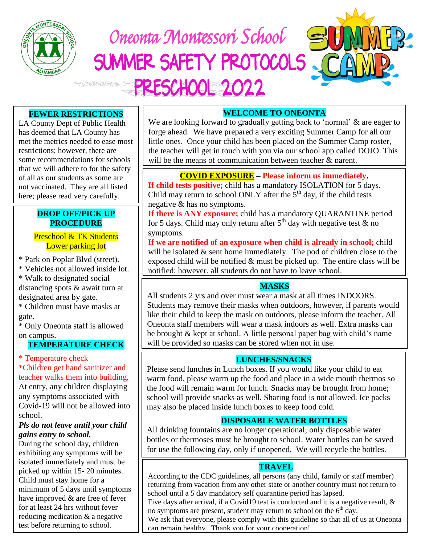

 Oneonta Montessori School SUMMER SAFETY PROTOCOLS **PRESCHOOL 2022** 

# **FEWER RESTRICTIONS**

LA County Dept of Public Health has deemed that LA County has met the metrics needed to ease most restrictions; however, there are some recommendations for schools that we will adhere to for the safety of all as our students as some are not vaccinated. They are all listed here; please read very carefully.

# **PROCEDURE DROP OFF/PICK UP**

# Preschool & TK Students Lower parking lot

\* Park on Poplar Blvd (street).

\* Vehicles not allowed inside lot.

\* Walk to designated social distancing spots & await turn at designated area by gate.

\* Children must have masks at gate.

\* Only Oneonta staff is allowed on campus.

# **TEMPERATURE CHECK**

\* Temperature check

 \*Children get hand sanitizer and teacher walks them into building. At entry, any children displaying any symptoms associated with Covid-19 will not be allowed into school.

## *Pls do not leave until your child gains entry to school.*

During the school day, children exhibiting any symptoms will be isolated immediately and must be picked up within 15- 20 minutes. Child must stay home for a minimum of 5 days until symptoms have improved & are free of fever for at least 24 hrs without fever reducing medication & a negative test before returning to school.

# **WELCOME TO ONEONTA**

we are looking forward to gradually getting back to 'normal' & are eager<br>forge ahead. We have prepared a very exciting Summer Camp for all our the teacher will get in touch with you via our school app called DOJO. This We are looking forward to gradually getting back to 'normal' & are eager to little ones. Once your child has been placed on the Summer Camp roster, will be the means of communication between teacher & parent.

# **COVID EXPOSURE – Please inform us immediately.**

Child may return to school ONLY after the  $5<sup>th</sup>$  day, if the child tests **If child tests positive;** child has a mandatory ISOLATION for 5 days. negative & has no symptoms.

**If there is ANY exposure;** child has a mandatory QUARANTINE period for 5 days. Child may only return after  $5<sup>th</sup>$  day with negative test & no symptoms.

**If we are notified of an exposure when child is already in school;** child will be isolated  $&$  sent home immediately. The pod of children close to the exposed child will be notified  $&$  must be picked up. The entire class will be notified; however, all students do not have to leave school.

# **MASKS**

All students 2 yrs and over must wear a mask at all times INDOORS. Students may remove their masks when outdoors, however, if parents would like their child to keep the mask on outdoors, please inform the teacher. All Oneonta staff members will wear a mask indoors as well. Extra masks can be brought & kept at school. A little personal paper bag with child's name will be provided so masks can be stored when not in use.

# **LUNCHES/SNACKS**

Please send lunches in Lunch boxes. If you would like your child to eat warm food, please warm up the food and place in a wide mouth thermos so the food will remain warm for lunch. Snacks may be brought from home; school will provide snacks as well. Sharing food is not allowed. Ice packs may also be placed inside lunch boxes to keep food cold.

# **DISPOSABLE WATER BOTTLES**

All drinking fountains are no longer operational; only disposable water bottles or thermoses must be brought to school. Water bottles can be saved for use the following day, only if unopened. We will recycle the bottles.

# **TRAVEL**

According to the CDC guidelines, all persons (any child, family or staff member) returning from vacation from any other state or another country must not return to school until a 5 day mandatory self quarantine period has lapsed. Five days after arrival, if a Covid19 test is conducted and it is a negative result, & no symptoms are present, student may return to school on the  $6<sup>th</sup>$  day. We ask that everyone, please comply with this guideline so that all of us at Oneonta can remain healthy. Thank you for your cooperation!